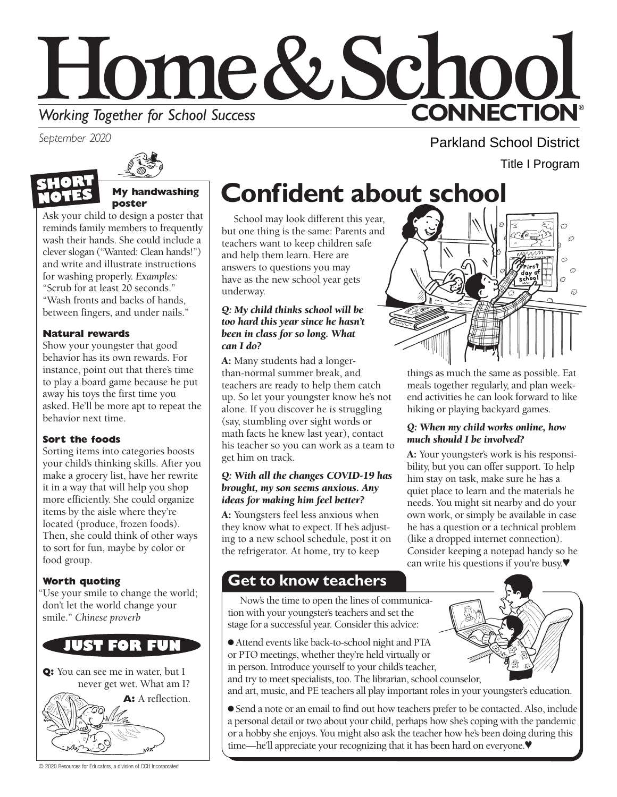

*September 2020*





### **My handwashing poster**

Ask your child to design a poster that reminds family members to frequently wash their hands. She could include a clever slogan ("Wanted: Clean hands!") and write and illustrate instructions for washing properly. *Examples:* "Scrub for at least 20 seconds." "Wash fronts and backs of hands, between fingers, and under nails."

### **Natural rewards**

Show your youngster that good behavior has its own rewards. For instance, point out that there's time to play a board game because he put away his toys the first time you asked. He'll be more apt to repeat the behavior next time.

### **Sort the foods**

Sorting items into categories boosts your child's thinking skills. After you make a grocery list, have her rewrite it in a way that will help you shop more efficiently. She could organize items by the aisle where they're located (produce, frozen foods). Then, she could think of other ways to sort for fun, maybe by color or food group.

### **Worth quoting**

"Use your smile to change the world; don't let the world change your smile." *Chinese proverb*



**Q:** You can see me in water, but I never get wet. What am I?

**A:** A reflection.

# **Confident about school**

School may look different this year, but one thing is the same: Parents and teachers want to keep children safe and help them learn. Here are answers to questions you may have as the new school year gets underway.

### *Q: My child thinks school will be too hard this year since he hasn't been in class for so long. What can I do?*

A: Many students had a longerthan-normal summer break, and teachers are ready to help them catch up. So let your youngster know he's not alone. If you discover he *is* struggling (say, stumbling over sight words or math facts he knew last year), contact his teacher so you can work as a team to get him on track.

### *Q: With all the changes COVID-19 has brought, my son seems anxious. Any ideas for making him feel better?*

A: Youngsters feel less anxious when they know what to expect. If he's adjusting to a new school schedule, post it on the refrigerator. At home, try to keep

# **Get to know teachers**

Now's the time to open the lines of communication with your youngster's teachers and set the stage for a successful year. Consider this advice:

● Attend events like back-to-school night and PTA or PTO meetings, whether they're held virtually or in person. Introduce yourself to your child's teacher,

and try to meet specialists, too. The librarian, school counselor, and art, music, and PE teachers all play important roles in your youngster's education.

● Send a note or an email to find out how teachers prefer to be contacted. Also, include a personal detail or two about your child, perhaps how she's coping with the pandemic or a hobby she enjoys. You might also ask the teacher how he's been doing during this time—he'll appreciate your recognizing that it has been hard on everyone.♥

 $\hat{C}$  $\mathcal{L}$ 

Parkland School District

Title I Program

things as much the same as possible. Eat meals together regularly, and plan weekend activities he can look forward to like hiking or playing backyard games.

### *Q: When my child works online, how much should I be involved?*

A: Your youngster's work is his responsibility, but you can offer support. To help him stay on task, make sure he has a quiet place to learn and the materials he needs. You might sit nearby and do your own work, or simply be available in case he has a question or a technical problem (like a dropped internet connection). Consider keeping a notepad handy so he can write his questions if you're busy.♥